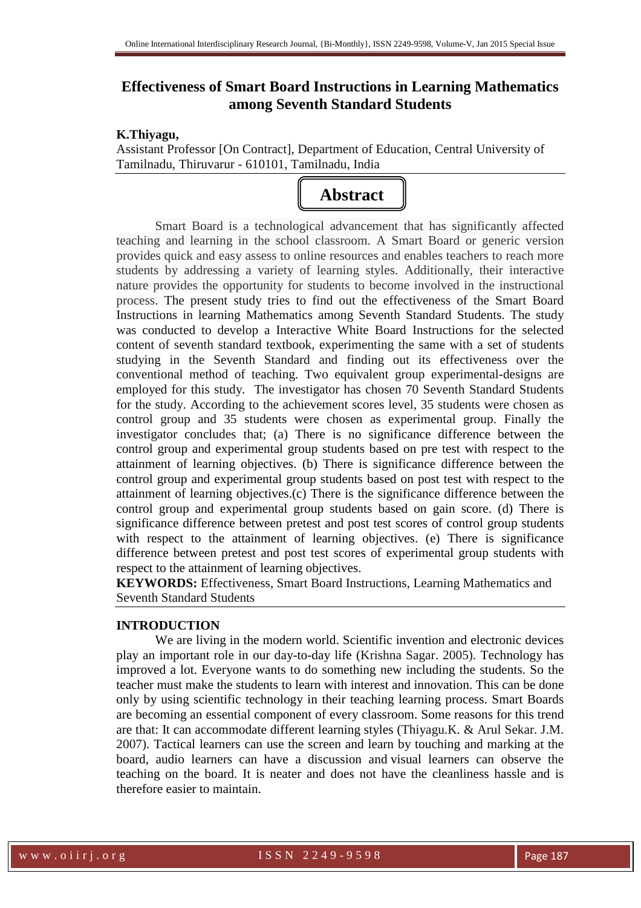# **Effectiveness of Smart Board Instructions in Learning Mathematics among Seventh Standard Students**

#### **K.Thiyagu,**

Assistant Professor [On Contract], Department of Education, Central University of Tamilnadu, Thiruvarur - 610101, Tamilnadu, India



Smart Board is a technological advancement that has significantly affected teaching and learning in the school classroom. A Smart Board or generic version provides quick and easy assess to online resources and enables teachers to reach more students by addressing a variety of learning styles. Additionally, their interactive nature provides the opportunity for students to become involved in the instructional process. The present study tries to find out the effectiveness of the Smart Board Instructions in learning Mathematics among Seventh Standard Students. The study was conducted to develop a Interactive White Board Instructions for the selected content of seventh standard textbook, experimenting the same with a set of students studying in the Seventh Standard and finding out its effectiveness over the conventional method of teaching. Two equivalent group experimental-designs are employed for this study. The investigator has chosen 70 Seventh Standard Students for the study. According to the achievement scores level, 35 students were chosen as control group and 35 students were chosen as experimental group. Finally the investigator concludes that; (a) There is no significance difference between the control group and experimental group students based on pre test with respect to the attainment of learning objectives. (b) There is significance difference between the control group and experimental group students based on post test with respect to the attainment of learning objectives.(c) There is the significance difference between the control group and experimental group students based on gain score. (d) There is significance difference between pretest and post test scores of control group students with respect to the attainment of learning objectives. (e) There is significance difference between pretest and post test scores of experimental group students with respect to the attainment of learning objectives.

**KEYWORDS:** Effectiveness, Smart Board Instructions, Learning Mathematics and Seventh Standard Students

# **INTRODUCTION**

We are living in the modern world. Scientific invention and electronic devices play an important role in our day-to-day life (Krishna Sagar. 2005). Technology has improved a lot. Everyone wants to do something new including the students. So the teacher must make the students to learn with interest and innovation. This can be done only by using scientific technology in their teaching learning process. Smart Boards are becoming an essential component of every classroom. Some reasons for this trend are that: It can accommodate different learning styles (Thiyagu.K. & Arul Sekar. J.M. 2007). Tactical learners can use the screen and learn by touching and marking at the board, audio learners can have a discussion and visual learners can observe the teaching on the board. It is neater and does not have the cleanliness hassle and is therefore easier to maintain.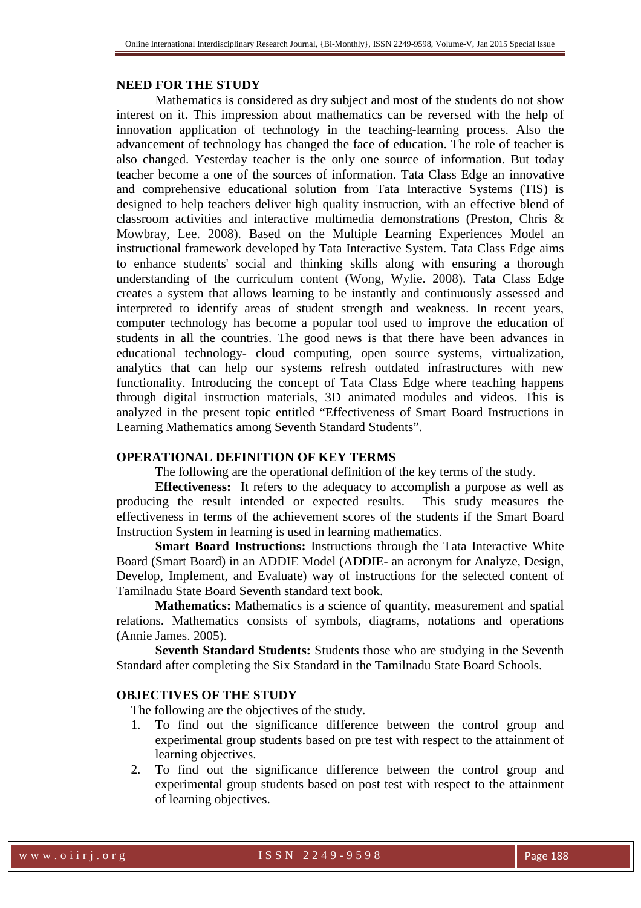#### **NEED FOR THE STUDY**

Mathematics is considered as dry subject and most of the students do not show interest on it. This impression about mathematics can be reversed with the help of innovation application of technology in the teaching-learning process. Also the advancement of technology has changed the face of education. The role of teacher is also changed. Yesterday teacher is the only one source of information. But today teacher become a one of the sources of information. Tata Class Edge an innovative and comprehensive educational solution from Tata Interactive Systems (TIS) is designed to help teachers deliver high quality instruction, with an effective blend of classroom activities and interactive multimedia demonstrations (Preston, Chris & Mowbray, Lee. 2008). Based on the Multiple Learning Experiences Model an instructional framework developed by Tata Interactive System. Tata Class Edge aims to enhance students' social and thinking skills along with ensuring a thorough understanding of the curriculum content (Wong, Wylie. 2008). Tata Class Edge creates a system that allows learning to be instantly and continuously assessed and interpreted to identify areas of student strength and weakness. In recent years, computer technology has become a popular tool used to improve the education of students in all the countries. The good news is that there have been advances in educational technology- cloud computing, open source systems, virtualization, analytics that can help our systems refresh outdated infrastructures with new functionality. Introducing the concept of Tata Class Edge where teaching happens through digital instruction materials, 3D animated modules and videos. This is analyzed in the present topic entitled "Effectiveness of Smart Board Instructions in Learning Mathematics among Seventh Standard Students".

# **OPERATIONAL DEFINITION OF KEY TERMS**

The following are the operational definition of the key terms of the study.

**Effectiveness:** It refers to the adequacy to accomplish a purpose as well as producing the result intended or expected results. This study measures the effectiveness in terms of the achievement scores of the students if the Smart Board Instruction System in learning is used in learning mathematics.

**Smart Board Instructions:** Instructions through the Tata Interactive White Board (Smart Board) in an ADDIE Model (ADDIE- an acronym for Analyze, Design, Develop, Implement, and Evaluate) way of instructions for the selected content of Tamilnadu State Board Seventh standard text book.

**Mathematics:** Mathematics is a science of quantity, measurement and spatial relations. Mathematics consists of symbols, diagrams, notations and operations (Annie James. 2005).

**Seventh Standard Students:** Students those who are studying in the Seventh Standard after completing the Six Standard in the Tamilnadu State Board Schools.

## **OBJECTIVES OF THE STUDY**

The following are the objectives of the study.

- 1. To find out the significance difference between the control group and experimental group students based on pre test with respect to the attainment of learning objectives.
- 2. To find out the significance difference between the control group and experimental group students based on post test with respect to the attainment of learning objectives.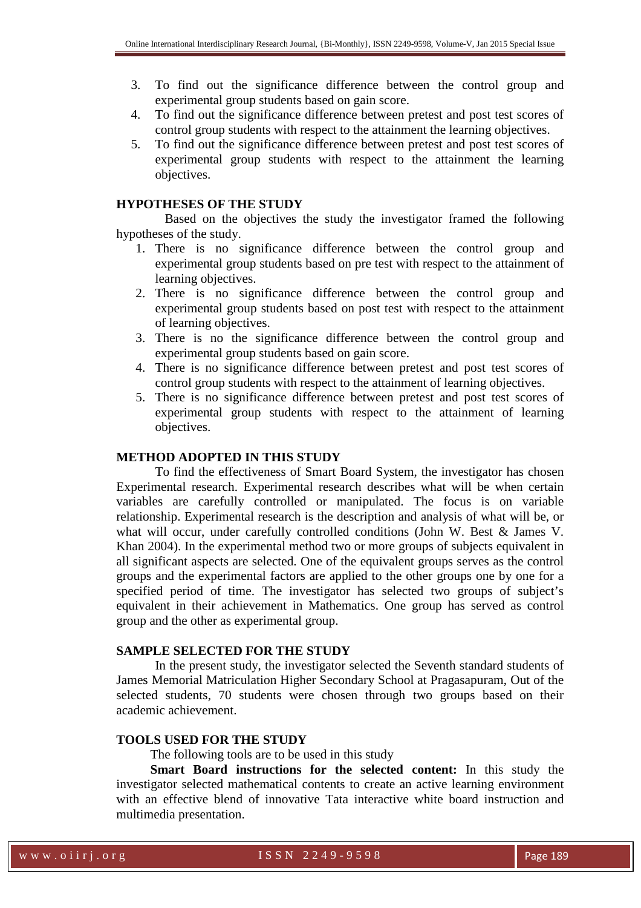- 3. To find out the significance difference between the control group and experimental group students based on gain score.
- 4. To find out the significance difference between pretest and post test scores of control group students with respect to the attainment the learning objectives.
- 5. To find out the significance difference between pretest and post test scores of experimental group students with respect to the attainment the learning objectives.

#### **HYPOTHESES OF THE STUDY**

 Based on the objectives the study the investigator framed the following hypotheses of the study.

- 1. There is no significance difference between the control group and experimental group students based on pre test with respect to the attainment of learning objectives.
- 2. There is no significance difference between the control group and experimental group students based on post test with respect to the attainment of learning objectives.
- 3. There is no the significance difference between the control group and experimental group students based on gain score.
- 4. There is no significance difference between pretest and post test scores of control group students with respect to the attainment of learning objectives.
- 5. There is no significance difference between pretest and post test scores of experimental group students with respect to the attainment of learning objectives.

# **METHOD ADOPTED IN THIS STUDY**

To find the effectiveness of Smart Board System, the investigator has chosen Experimental research. Experimental research describes what will be when certain variables are carefully controlled or manipulated. The focus is on variable relationship. Experimental research is the description and analysis of what will be, or what will occur, under carefully controlled conditions (John W. Best & James V. Khan 2004). In the experimental method two or more groups of subjects equivalent in all significant aspects are selected. One of the equivalent groups serves as the control groups and the experimental factors are applied to the other groups one by one for a specified period of time. The investigator has selected two groups of subject's equivalent in their achievement in Mathematics. One group has served as control group and the other as experimental group.

#### **SAMPLE SELECTED FOR THE STUDY**

In the present study, the investigator selected the Seventh standard students of James Memorial Matriculation Higher Secondary School at Pragasapuram, Out of the selected students, 70 students were chosen through two groups based on their academic achievement.

## **TOOLS USED FOR THE STUDY**

The following tools are to be used in this study

**Smart Board instructions for the selected content:** In this study the investigator selected mathematical contents to create an active learning environment with an effective blend of innovative Tata interactive white board instruction and multimedia presentation.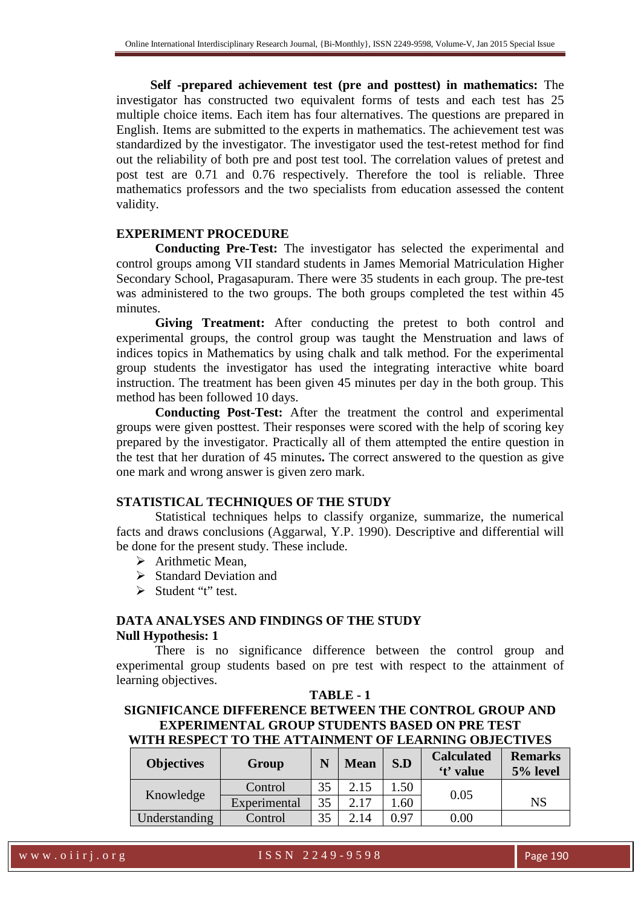**Self -prepared achievement test (pre and posttest) in mathematics:** The investigator has constructed two equivalent forms of tests and each test has 25 multiple choice items. Each item has four alternatives. The questions are prepared in English. Items are submitted to the experts in mathematics. The achievement test was standardized by the investigator. The investigator used the test-retest method for find out the reliability of both pre and post test tool. The correlation values of pretest and post test are 0.71 and 0.76 respectively. Therefore the tool is reliable. Three mathematics professors and the two specialists from education assessed the content validity.

#### **EXPERIMENT PROCEDURE**

 **Conducting Pre-Test:** The investigator has selected the experimental and control groups among VII standard students in James Memorial Matriculation Higher Secondary School, Pragasapuram. There were 35 students in each group. The pre-test was administered to the two groups. The both groups completed the test within 45 minutes.

 **Giving Treatment:** After conducting the pretest to both control and experimental groups, the control group was taught the Menstruation and laws of indices topics in Mathematics by using chalk and talk method. For the experimental group students the investigator has used the integrating interactive white board instruction. The treatment has been given 45 minutes per day in the both group. This method has been followed 10 days.

**Conducting Post-Test:** After the treatment the control and experimental groups were given posttest. Their responses were scored with the help of scoring key prepared by the investigator. Practically all of them attempted the entire question in the test that her duration of 45 minutes**.** The correct answered to the question as give one mark and wrong answer is given zero mark.

## **STATISTICAL TECHNIQUES OF THE STUDY**

 Statistical techniques helps to classify organize, summarize, the numerical facts and draws conclusions (Aggarwal, Y.P. 1990). Descriptive and differential will be done for the present study. These include.

- $\triangleright$  Arithmetic Mean,
- $\triangleright$  Standard Deviation and
- $\triangleright$  Student "t" test.

# **DATA ANALYSES AND FINDINGS OF THE STUDY Null Hypothesis: 1**

 There is no significance difference between the control group and experimental group students based on pre test with respect to the attainment of learning objectives.

# **TABLE - 1 SIGNIFICANCE DIFFERENCE BETWEEN THE CONTROL GROUP AND EXPERIMENTAL GROUP STUDENTS BASED ON PRE TEST WITH RESPECT TO THE ATTAINMENT OF LEARNING OBJECTIVES**

| <b>Objectives</b> | Group        |    | <b>Mean</b> | S.D  | <b>Calculated</b><br>'t' value | <b>Remarks</b><br>5% level |
|-------------------|--------------|----|-------------|------|--------------------------------|----------------------------|
|                   | Control      | 35 | 2.15        | 1.50 | 0.05                           |                            |
| Knowledge         | Experimental | 35 | 2.17        | .60  |                                | NS                         |
| Understanding     | Control      |    | 2.14        | 0.97 | 0.00                           |                            |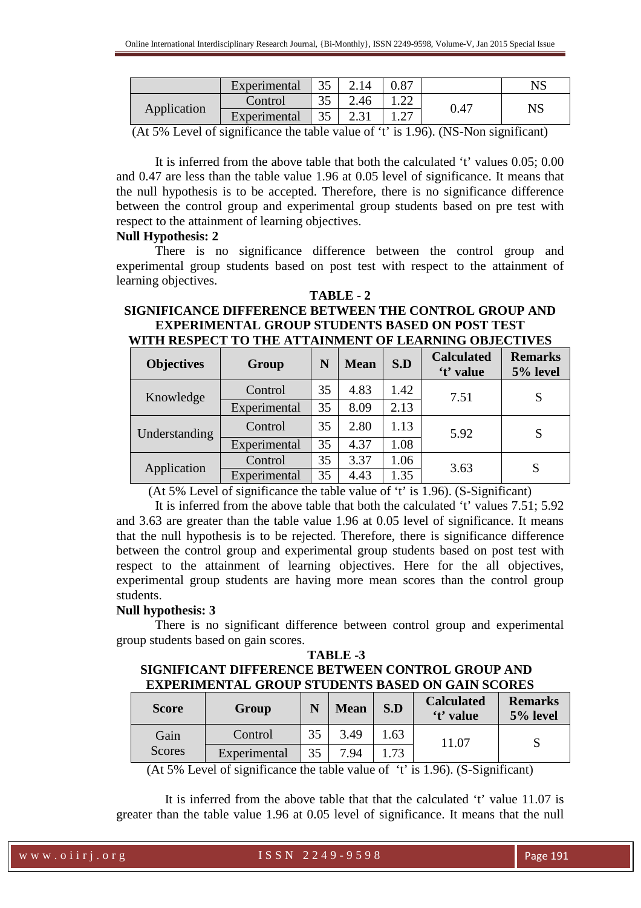|             | Experimental | $\Omega$<br>ີ |      | 0.87             |      | $_{\rm NS}$ |
|-------------|--------------|---------------|------|------------------|------|-------------|
| Application | Control      | ີ             | 2.46 | $\cap$<br>. . 22 |      | NS          |
|             | Experimental | JJ            | 4.01 | ،  ے .           | 0.47 |             |

(At 5% Level of significance the table value of 't' is 1.96). (NS-Non significant)

 It is inferred from the above table that both the calculated 't' values 0.05; 0.00 and 0.47 are less than the table value 1.96 at 0.05 level of significance. It means that the null hypothesis is to be accepted. Therefore, there is no significance difference between the control group and experimental group students based on pre test with respect to the attainment of learning objectives.

## **Null Hypothesis: 2**

 There is no significance difference between the control group and experimental group students based on post test with respect to the attainment of learning objectives.

**TABLE - 2** 

#### **SIGNIFICANCE DIFFERENCE BETWEEN THE CONTROL GROUP AND EXPERIMENTAL GROUP STUDENTS BASED ON POST TEST WITH RESPECT TO THE ATTAINMENT OF LEARNING OBJECTIVES**

| <b>Objectives</b> | Group        | N  | <b>Mean</b> | S.D  | <b>Calculated</b><br>'t' value | <b>Remarks</b><br>5% level |
|-------------------|--------------|----|-------------|------|--------------------------------|----------------------------|
| Knowledge         | Control      | 35 | 4.83        | 1.42 | 7.51                           | S                          |
|                   | Experimental | 35 | 8.09        | 2.13 |                                |                            |
| Understanding     | Control      | 35 | 2.80        | 1.13 | 5.92                           | S                          |
|                   | Experimental | 35 | 4.37        | 1.08 |                                |                            |
| Application       | Control      | 35 | 3.37        | 1.06 | 3.63                           | S                          |
|                   | Experimental | 35 | 4.43        | 1.35 |                                |                            |

(At 5% Level of significance the table value of 't' is 1.96). (S-Significant)

 It is inferred from the above table that both the calculated 't' values 7.51; 5.92 and 3.63 are greater than the table value 1.96 at 0.05 level of significance. It means that the null hypothesis is to be rejected. Therefore, there is significance difference between the control group and experimental group students based on post test with respect to the attainment of learning objectives. Here for the all objectives, experimental group students are having more mean scores than the control group students.

# **Null hypothesis: 3**

There is no significant difference between control group and experimental group students based on gain scores.

# **TABLE -3 SIGNIFICANT DIFFERENCE BETWEEN CONTROL GROUP AND EXPERIMENTAL GROUP STUDENTS BASED ON GAIN SCORES**

| <b>Score</b>          | Group        |    | <b>Mean</b> | S.D | <b>Calculated</b><br>'t' value | <b>Remarks</b><br>5% level |
|-----------------------|--------------|----|-------------|-----|--------------------------------|----------------------------|
| Gain<br><b>Scores</b> | Control      | 35 | 3.49        | .63 | 11.07                          |                            |
|                       | Experimental | 35 | 7.94        | .73 |                                |                            |

(At 5% Level of significance the table value of 't' is 1.96). (S-Significant)

 It is inferred from the above table that that the calculated 't' value 11.07 is greater than the table value 1.96 at 0.05 level of significance. It means that the null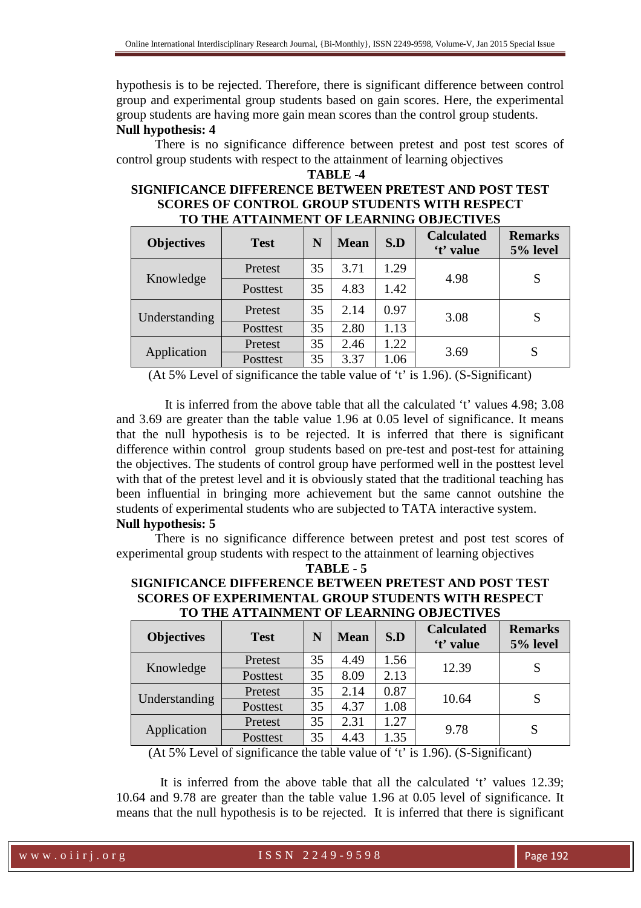hypothesis is to be rejected. Therefore, there is significant difference between control group and experimental group students based on gain scores. Here, the experimental group students are having more gain mean scores than the control group students. **Null hypothesis: 4** 

 There is no significance difference between pretest and post test scores of control group students with respect to the attainment of learning objectives

# **TABLE -4 SIGNIFICANCE DIFFERENCE BETWEEN PRETEST AND POST TEST SCORES OF CONTROL GROUP STUDENTS WITH RESPECT TO THE ATTAINMENT OF LEARNING OBJECTIVES**

| <b>Objectives</b> | <b>Test</b> | N  | <b>Mean</b> | S.D  | <b>Calculated</b><br>'t' value | <b>Remarks</b><br>5% level |
|-------------------|-------------|----|-------------|------|--------------------------------|----------------------------|
| Knowledge         | Pretest     | 35 | 3.71        | 1.29 | 4.98                           | S                          |
|                   | Posttest    | 35 | 4.83        | 1.42 |                                |                            |
| Understanding     | Pretest     | 35 | 2.14        | 0.97 | 3.08                           | S                          |
|                   | Posttest    | 35 | 2.80        | 1.13 |                                |                            |
| Application       | Pretest     | 35 | 2.46        | 1.22 | 3.69                           | S                          |
|                   | Posttest    | 35 | 3.37        | 1.06 |                                |                            |

(At 5% Level of significance the table value of 't' is 1.96). (S-Significant)

 It is inferred from the above table that all the calculated 't' values 4.98; 3.08 and 3.69 are greater than the table value 1.96 at 0.05 level of significance. It means that the null hypothesis is to be rejected. It is inferred that there is significant difference within control group students based on pre-test and post-test for attaining the objectives. The students of control group have performed well in the posttest level with that of the pretest level and it is obviously stated that the traditional teaching has been influential in bringing more achievement but the same cannot outshine the students of experimental students who are subjected to TATA interactive system. **Null hypothesis: 5** 

 There is no significance difference between pretest and post test scores of experimental group students with respect to the attainment of learning objectives

**TABLE - 5** 

## **SIGNIFICANCE DIFFERENCE BETWEEN PRETEST AND POST TEST SCORES OF EXPERIMENTAL GROUP STUDENTS WITH RESPECT TO THE ATTAINMENT OF LEARNING OBJECTIVES**

| <b>Objectives</b> | <b>Test</b> | N  | <b>Mean</b> | S.D  | <b>Calculated</b><br>'t' value | <b>Remarks</b><br>5% level |
|-------------------|-------------|----|-------------|------|--------------------------------|----------------------------|
| Knowledge         | Pretest     | 35 | 4.49        | 1.56 | 12.39                          |                            |
|                   | Posttest    | 35 | 8.09        | 2.13 |                                |                            |
| Understanding     | Pretest     | 35 | 2.14        | 0.87 | 10.64                          |                            |
|                   | Posttest    | 35 | 4.37        | 1.08 |                                |                            |
| Application       | Pretest     | 35 | 2.31        | 1.27 |                                |                            |
|                   | Posttest    | 35 | 4.43        | 1.35 | 9.78                           | S                          |

(At 5% Level of significance the table value of 't' is 1.96). (S-Significant)

 It is inferred from the above table that all the calculated 't' values 12.39; 10.64 and 9.78 are greater than the table value 1.96 at 0.05 level of significance. It means that the null hypothesis is to be rejected. It is inferred that there is significant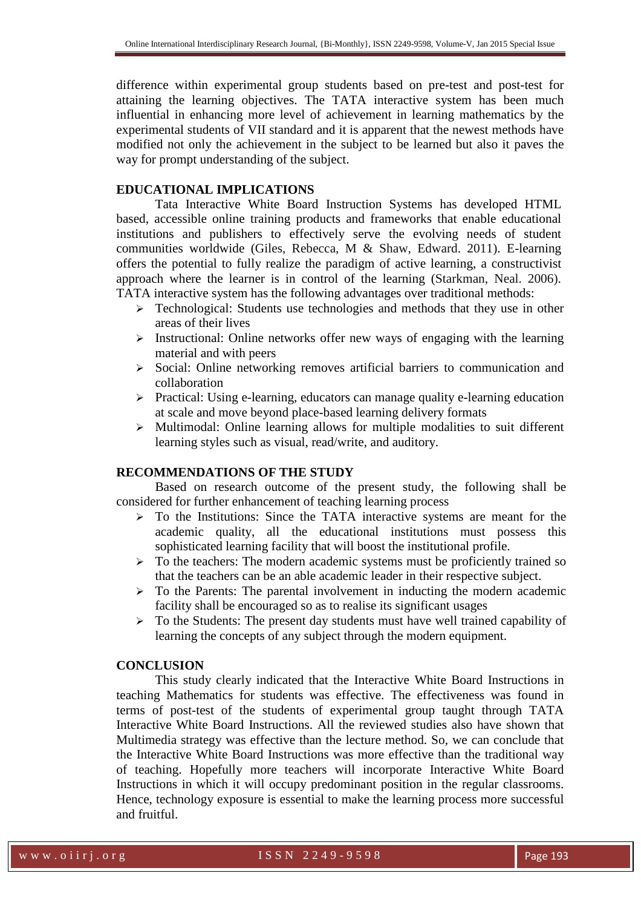difference within experimental group students based on pre-test and post-test for attaining the learning objectives. The TATA interactive system has been much influential in enhancing more level of achievement in learning mathematics by the experimental students of VII standard and it is apparent that the newest methods have modified not only the achievement in the subject to be learned but also it paves the way for prompt understanding of the subject.

#### **EDUCATIONAL IMPLICATIONS**

Tata Interactive White Board Instruction Systems has developed HTML based, accessible online training products and frameworks that enable educational institutions and publishers to effectively serve the evolving needs of student communities worldwide (Giles, Rebecca, M & Shaw, Edward. 2011). E-learning offers the potential to fully realize the paradigm of active learning, a constructivist approach where the learner is in control of the learning (Starkman, Neal. 2006). TATA interactive system has the following advantages over traditional methods:

- **Fechnological:** Students use technologies and methods that they use in other areas of their lives
- $\triangleright$  Instructional: Online networks offer new ways of engaging with the learning material and with peers
- $\triangleright$  Social: Online networking removes artificial barriers to communication and collaboration
- $\triangleright$  Practical: Using e-learning, educators can manage quality e-learning education at scale and move beyond place-based learning delivery formats
- $\triangleright$  Multimodal: Online learning allows for multiple modalities to suit different learning styles such as visual, read/write, and auditory.

#### **RECOMMENDATIONS OF THE STUDY**

Based on research outcome of the present study, the following shall be considered for further enhancement of teaching learning process

- $\triangleright$  To the Institutions: Since the TATA interactive systems are meant for the academic quality, all the educational institutions must possess this sophisticated learning facility that will boost the institutional profile.
- $\triangleright$  To the teachers: The modern academic systems must be proficiently trained so that the teachers can be an able academic leader in their respective subject.
- $\triangleright$  To the Parents: The parental involvement in inducting the modern academic facility shall be encouraged so as to realise its significant usages
- > To the Students: The present day students must have well trained capability of learning the concepts of any subject through the modern equipment.

### **CONCLUSION**

 This study clearly indicated that the Interactive White Board Instructions in teaching Mathematics for students was effective. The effectiveness was found in terms of post-test of the students of experimental group taught through TATA Interactive White Board Instructions. All the reviewed studies also have shown that Multimedia strategy was effective than the lecture method. So, we can conclude that the Interactive White Board Instructions was more effective than the traditional way of teaching. Hopefully more teachers will incorporate Interactive White Board Instructions in which it will occupy predominant position in the regular classrooms. Hence, technology exposure is essential to make the learning process more successful and fruitful.